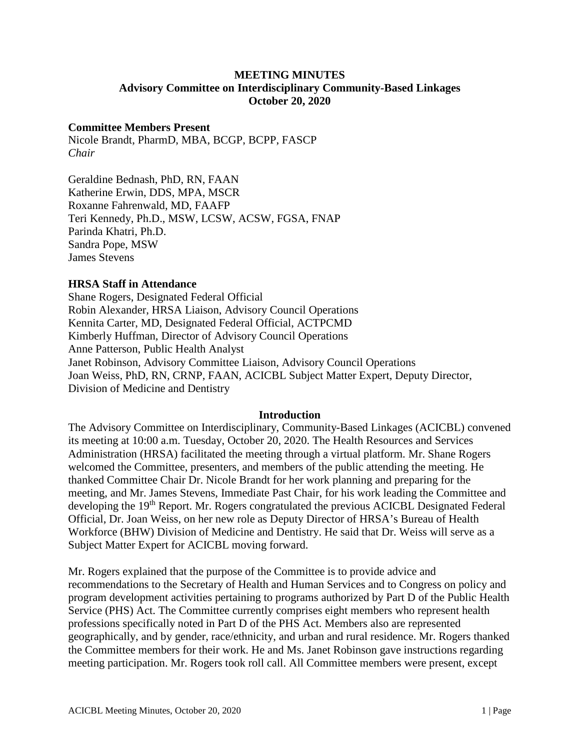## **MEETING MINUTES Advisory Committee on Interdisciplinary Community-Based Linkages October 20, 2020**

# **Committee Members Present**

Nicole Brandt, PharmD, MBA, BCGP, BCPP, FASCP *Chair*

Geraldine Bednash, PhD, RN, FAAN Katherine Erwin, DDS, MPA, MSCR Roxanne Fahrenwald, MD, FAAFP Teri Kennedy, Ph.D., MSW, LCSW, ACSW, FGSA, FNAP Parinda Khatri, Ph.D. Sandra Pope, MSW James Stevens

### **HRSA Staff in Attendance**

Shane Rogers, Designated Federal Official Robin Alexander, HRSA Liaison, Advisory Council Operations Kennita Carter, MD, Designated Federal Official, ACTPCMD Kimberly Huffman, Director of Advisory Council Operations Anne Patterson, Public Health Analyst Janet Robinson, Advisory Committee Liaison, Advisory Council Operations Joan Weiss, PhD, RN, CRNP, FAAN, ACICBL Subject Matter Expert, Deputy Director, Division of Medicine and Dentistry

#### **Introduction**

The Advisory Committee on Interdisciplinary, Community-Based Linkages (ACICBL) convened its meeting at 10:00 a.m. Tuesday, October 20, 2020. The Health Resources and Services Administration (HRSA) facilitated the meeting through a virtual platform. Mr. Shane Rogers welcomed the Committee, presenters, and members of the public attending the meeting. He thanked Committee Chair Dr. Nicole Brandt for her work planning and preparing for the meeting, and Mr. James Stevens, Immediate Past Chair, for his work leading the Committee and developing the 19<sup>th</sup> Report. Mr. Rogers congratulated the previous ACICBL Designated Federal Official, Dr. Joan Weiss, on her new role as Deputy Director of HRSA's Bureau of Health Workforce (BHW) Division of Medicine and Dentistry. He said that Dr. Weiss will serve as a Subject Matter Expert for ACICBL moving forward.

Mr. Rogers explained that the purpose of the Committee is to provide advice and recommendations to the Secretary of Health and Human Services and to Congress on policy and program development activities pertaining to programs authorized by Part D of the Public Health Service (PHS) Act. The Committee currently comprises eight members who represent health professions specifically noted in Part D of the PHS Act. Members also are represented geographically, and by gender, race/ethnicity, and urban and rural residence. Mr. Rogers thanked the Committee members for their work. He and Ms. Janet Robinson gave instructions regarding meeting participation. Mr. Rogers took roll call. All Committee members were present, except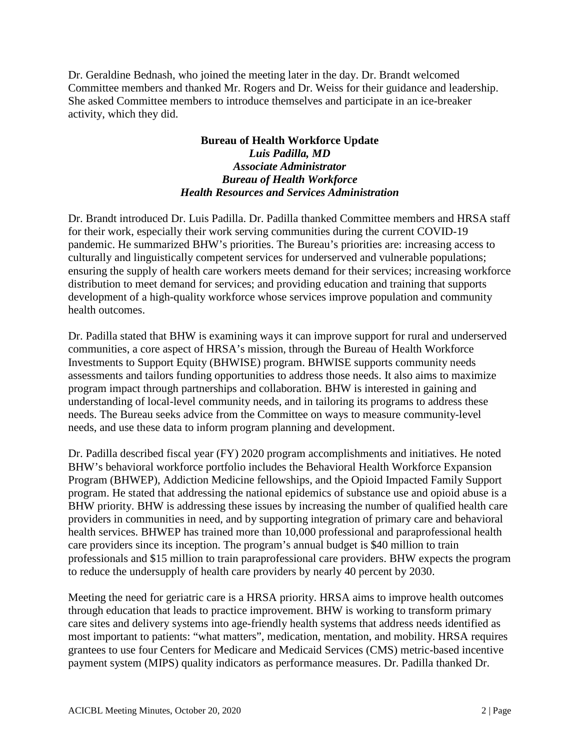Dr. Geraldine Bednash, who joined the meeting later in the day. Dr. Brandt welcomed Committee members and thanked Mr. Rogers and Dr. Weiss for their guidance and leadership. She asked Committee members to introduce themselves and participate in an ice-breaker activity, which they did.

## **Bureau of Health Workforce Update**  *Luis Padilla, MD Associate Administrator Bureau of Health Workforce Health Resources and Services Administration*

Dr. Brandt introduced Dr. Luis Padilla. Dr. Padilla thanked Committee members and HRSA staff for their work, especially their work serving communities during the current COVID-19 pandemic. He summarized BHW's priorities. The Bureau's priorities are: increasing access to culturally and linguistically competent services for underserved and vulnerable populations; ensuring the supply of health care workers meets demand for their services; increasing workforce distribution to meet demand for services; and providing education and training that supports development of a high-quality workforce whose services improve population and community health outcomes.

Dr. Padilla stated that BHW is examining ways it can improve support for rural and underserved communities, a core aspect of HRSA's mission, through the Bureau of Health Workforce Investments to Support Equity (BHWISE) program. BHWISE supports community needs assessments and tailors funding opportunities to address those needs. It also aims to maximize program impact through partnerships and collaboration. BHW is interested in gaining and understanding of local-level community needs, and in tailoring its programs to address these needs. The Bureau seeks advice from the Committee on ways to measure community-level needs, and use these data to inform program planning and development.

Dr. Padilla described fiscal year (FY) 2020 program accomplishments and initiatives. He noted BHW's behavioral workforce portfolio includes the Behavioral Health Workforce Expansion Program (BHWEP), Addiction Medicine fellowships, and the Opioid Impacted Family Support program. He stated that addressing the national epidemics of substance use and opioid abuse is a BHW priority. BHW is addressing these issues by increasing the number of qualified health care providers in communities in need, and by supporting integration of primary care and behavioral health services. BHWEP has trained more than 10,000 professional and paraprofessional health care providers since its inception. The program's annual budget is \$40 million to train professionals and \$15 million to train paraprofessional care providers. BHW expects the program to reduce the undersupply of health care providers by nearly 40 percent by 2030.

Meeting the need for geriatric care is a HRSA priority. HRSA aims to improve health outcomes through education that leads to practice improvement. BHW is working to transform primary care sites and delivery systems into age-friendly health systems that address needs identified as most important to patients: "what matters", medication, mentation, and mobility. HRSA requires grantees to use four Centers for Medicare and Medicaid Services (CMS) metric-based incentive payment system (MIPS) quality indicators as performance measures. Dr. Padilla thanked Dr.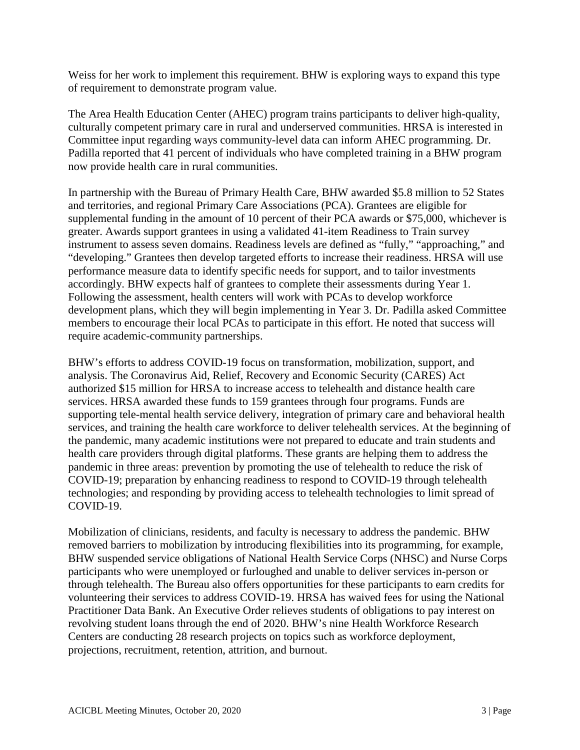Weiss for her work to implement this requirement. BHW is exploring ways to expand this type of requirement to demonstrate program value.

The Area Health Education Center (AHEC) program trains participants to deliver high-quality, culturally competent primary care in rural and underserved communities. HRSA is interested in Committee input regarding ways community-level data can inform AHEC programming. Dr. Padilla reported that 41 percent of individuals who have completed training in a BHW program now provide health care in rural communities.

In partnership with the Bureau of Primary Health Care, BHW awarded \$5.8 million to 52 States and territories, and regional Primary Care Associations (PCA). Grantees are eligible for supplemental funding in the amount of 10 percent of their PCA awards or \$75,000, whichever is greater. Awards support grantees in using a validated 41-item Readiness to Train survey instrument to assess seven domains. Readiness levels are defined as "fully," "approaching," and "developing." Grantees then develop targeted efforts to increase their readiness. HRSA will use performance measure data to identify specific needs for support, and to tailor investments accordingly. BHW expects half of grantees to complete their assessments during Year 1. Following the assessment, health centers will work with PCAs to develop workforce development plans, which they will begin implementing in Year 3. Dr. Padilla asked Committee members to encourage their local PCAs to participate in this effort. He noted that success will require academic-community partnerships.

BHW's efforts to address COVID-19 focus on transformation, mobilization, support, and analysis. The Coronavirus Aid, Relief, Recovery and Economic Security (CARES) Act authorized \$15 million for HRSA to increase access to telehealth and distance health care services. HRSA awarded these funds to 159 grantees through four programs. Funds are supporting tele-mental health service delivery, integration of primary care and behavioral health services, and training the health care workforce to deliver telehealth services. At the beginning of the pandemic, many academic institutions were not prepared to educate and train students and health care providers through digital platforms. These grants are helping them to address the pandemic in three areas: prevention by promoting the use of telehealth to reduce the risk of COVID-19; preparation by enhancing readiness to respond to COVID-19 through telehealth technologies; and responding by providing access to telehealth technologies to limit spread of COVID-19.

Mobilization of clinicians, residents, and faculty is necessary to address the pandemic. BHW removed barriers to mobilization by introducing flexibilities into its programming, for example, BHW suspended service obligations of National Health Service Corps (NHSC) and Nurse Corps participants who were unemployed or furloughed and unable to deliver services in-person or through telehealth. The Bureau also offers opportunities for these participants to earn credits for volunteering their services to address COVID-19. HRSA has waived fees for using the National Practitioner Data Bank. An Executive Order relieves students of obligations to pay interest on revolving student loans through the end of 2020. BHW's nine Health Workforce Research Centers are conducting 28 research projects on topics such as workforce deployment, projections, recruitment, retention, attrition, and burnout.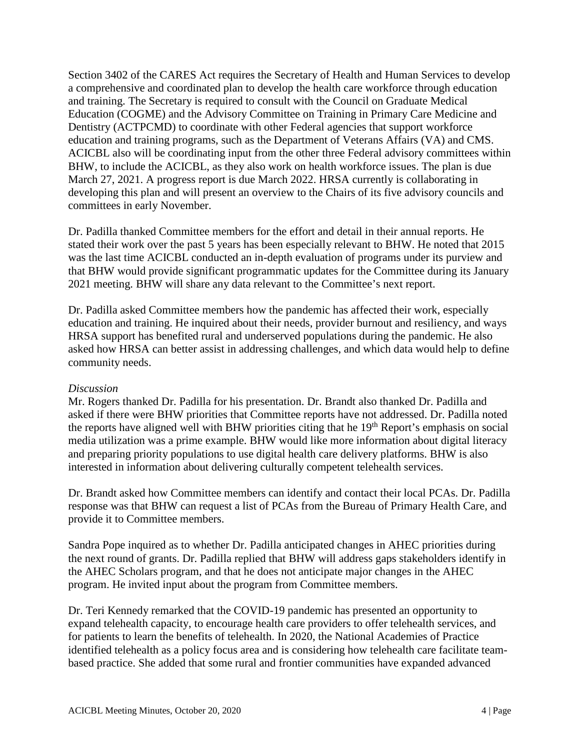Section 3402 of the CARES Act requires the Secretary of Health and Human Services to develop a comprehensive and coordinated plan to develop the health care workforce through education and training. The Secretary is required to consult with the Council on Graduate Medical Education (COGME) and the Advisory Committee on Training in Primary Care Medicine and Dentistry (ACTPCMD) to coordinate with other Federal agencies that support workforce education and training programs, such as the Department of Veterans Affairs (VA) and CMS. ACICBL also will be coordinating input from the other three Federal advisory committees within BHW, to include the ACICBL, as they also work on health workforce issues. The plan is due March 27, 2021. A progress report is due March 2022. HRSA currently is collaborating in developing this plan and will present an overview to the Chairs of its five advisory councils and committees in early November.

Dr. Padilla thanked Committee members for the effort and detail in their annual reports. He stated their work over the past 5 years has been especially relevant to BHW. He noted that 2015 was the last time ACICBL conducted an in-depth evaluation of programs under its purview and that BHW would provide significant programmatic updates for the Committee during its January 2021 meeting. BHW will share any data relevant to the Committee's next report.

Dr. Padilla asked Committee members how the pandemic has affected their work, especially education and training. He inquired about their needs, provider burnout and resiliency, and ways HRSA support has benefited rural and underserved populations during the pandemic. He also asked how HRSA can better assist in addressing challenges, and which data would help to define community needs.

### *Discussion*

Mr. Rogers thanked Dr. Padilla for his presentation. Dr. Brandt also thanked Dr. Padilla and asked if there were BHW priorities that Committee reports have not addressed. Dr. Padilla noted the reports have aligned well with BHW priorities citing that he 19<sup>th</sup> Report's emphasis on social media utilization was a prime example. BHW would like more information about digital literacy and preparing priority populations to use digital health care delivery platforms. BHW is also interested in information about delivering culturally competent telehealth services.

Dr. Brandt asked how Committee members can identify and contact their local PCAs. Dr. Padilla response was that BHW can request a list of PCAs from the Bureau of Primary Health Care, and provide it to Committee members.

Sandra Pope inquired as to whether Dr. Padilla anticipated changes in AHEC priorities during the next round of grants. Dr. Padilla replied that BHW will address gaps stakeholders identify in the AHEC Scholars program, and that he does not anticipate major changes in the AHEC program. He invited input about the program from Committee members.

Dr. Teri Kennedy remarked that the COVID-19 pandemic has presented an opportunity to expand telehealth capacity, to encourage health care providers to offer telehealth services, and for patients to learn the benefits of telehealth. In 2020, the National Academies of Practice identified telehealth as a policy focus area and is considering how telehealth care facilitate teambased practice. She added that some rural and frontier communities have expanded advanced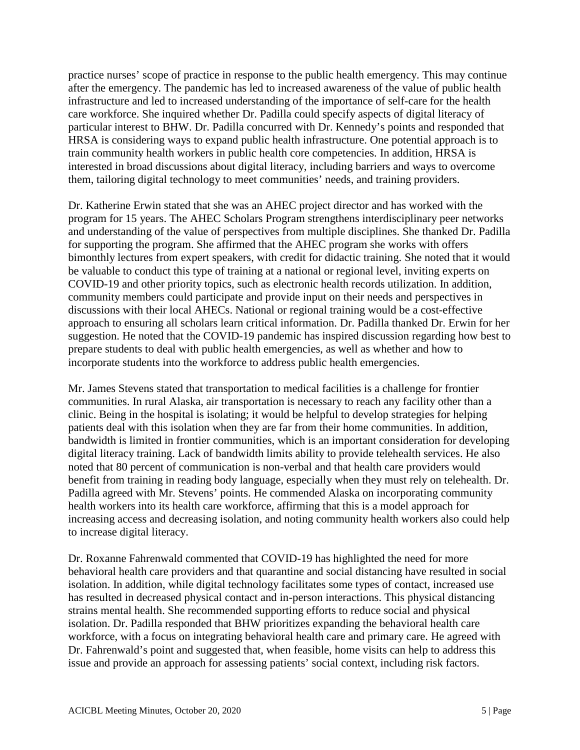practice nurses' scope of practice in response to the public health emergency. This may continue after the emergency. The pandemic has led to increased awareness of the value of public health infrastructure and led to increased understanding of the importance of self-care for the health care workforce. She inquired whether Dr. Padilla could specify aspects of digital literacy of particular interest to BHW. Dr. Padilla concurred with Dr. Kennedy's points and responded that HRSA is considering ways to expand public health infrastructure. One potential approach is to train community health workers in public health core competencies. In addition, HRSA is interested in broad discussions about digital literacy, including barriers and ways to overcome them, tailoring digital technology to meet communities' needs, and training providers.

Dr. Katherine Erwin stated that she was an AHEC project director and has worked with the program for 15 years. The AHEC Scholars Program strengthens interdisciplinary peer networks and understanding of the value of perspectives from multiple disciplines. She thanked Dr. Padilla for supporting the program. She affirmed that the AHEC program she works with offers bimonthly lectures from expert speakers, with credit for didactic training. She noted that it would be valuable to conduct this type of training at a national or regional level, inviting experts on COVID-19 and other priority topics, such as electronic health records utilization. In addition, community members could participate and provide input on their needs and perspectives in discussions with their local AHECs. National or regional training would be a cost-effective approach to ensuring all scholars learn critical information. Dr. Padilla thanked Dr. Erwin for her suggestion. He noted that the COVID-19 pandemic has inspired discussion regarding how best to prepare students to deal with public health emergencies, as well as whether and how to incorporate students into the workforce to address public health emergencies.

Mr. James Stevens stated that transportation to medical facilities is a challenge for frontier communities. In rural Alaska, air transportation is necessary to reach any facility other than a clinic. Being in the hospital is isolating; it would be helpful to develop strategies for helping patients deal with this isolation when they are far from their home communities. In addition, bandwidth is limited in frontier communities, which is an important consideration for developing digital literacy training. Lack of bandwidth limits ability to provide telehealth services. He also noted that 80 percent of communication is non-verbal and that health care providers would benefit from training in reading body language, especially when they must rely on telehealth. Dr. Padilla agreed with Mr. Stevens' points. He commended Alaska on incorporating community health workers into its health care workforce, affirming that this is a model approach for increasing access and decreasing isolation, and noting community health workers also could help to increase digital literacy.

Dr. Roxanne Fahrenwald commented that COVID-19 has highlighted the need for more behavioral health care providers and that quarantine and social distancing have resulted in social isolation. In addition, while digital technology facilitates some types of contact, increased use has resulted in decreased physical contact and in-person interactions. This physical distancing strains mental health. She recommended supporting efforts to reduce social and physical isolation. Dr. Padilla responded that BHW prioritizes expanding the behavioral health care workforce, with a focus on integrating behavioral health care and primary care. He agreed with Dr. Fahrenwald's point and suggested that, when feasible, home visits can help to address this issue and provide an approach for assessing patients' social context, including risk factors.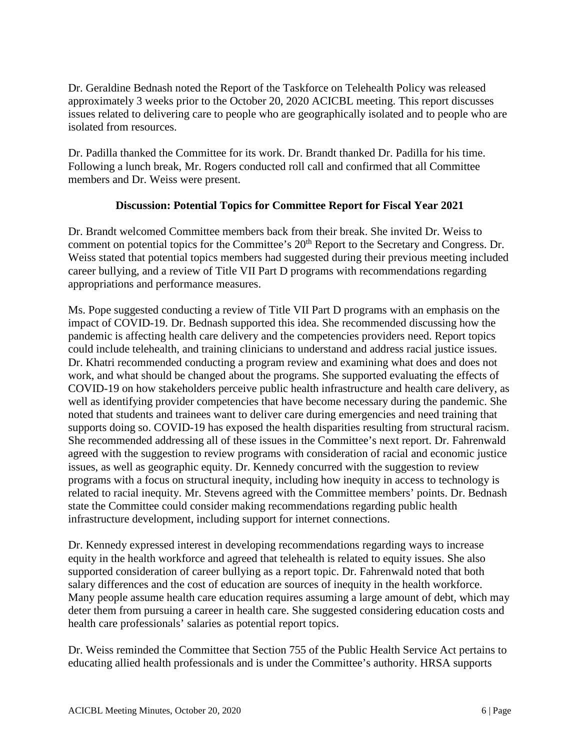Dr. Geraldine Bednash noted the Report of the Taskforce on Telehealth Policy was released approximately 3 weeks prior to the October 20, 2020 ACICBL meeting. This report discusses issues related to delivering care to people who are geographically isolated and to people who are isolated from resources.

Dr. Padilla thanked the Committee for its work. Dr. Brandt thanked Dr. Padilla for his time. Following a lunch break, Mr. Rogers conducted roll call and confirmed that all Committee members and Dr. Weiss were present.

# **Discussion: Potential Topics for Committee Report for Fiscal Year 2021**

Dr. Brandt welcomed Committee members back from their break. She invited Dr. Weiss to comment on potential topics for the Committee's 20<sup>th</sup> Report to the Secretary and Congress. Dr. Weiss stated that potential topics members had suggested during their previous meeting included career bullying, and a review of Title VII Part D programs with recommendations regarding appropriations and performance measures.

Ms. Pope suggested conducting a review of Title VII Part D programs with an emphasis on the impact of COVID-19. Dr. Bednash supported this idea. She recommended discussing how the pandemic is affecting health care delivery and the competencies providers need. Report topics could include telehealth, and training clinicians to understand and address racial justice issues. Dr. Khatri recommended conducting a program review and examining what does and does not work, and what should be changed about the programs. She supported evaluating the effects of COVID-19 on how stakeholders perceive public health infrastructure and health care delivery, as well as identifying provider competencies that have become necessary during the pandemic. She noted that students and trainees want to deliver care during emergencies and need training that supports doing so. COVID-19 has exposed the health disparities resulting from structural racism. She recommended addressing all of these issues in the Committee's next report. Dr. Fahrenwald agreed with the suggestion to review programs with consideration of racial and economic justice issues, as well as geographic equity. Dr. Kennedy concurred with the suggestion to review programs with a focus on structural inequity, including how inequity in access to technology is related to racial inequity. Mr. Stevens agreed with the Committee members' points. Dr. Bednash state the Committee could consider making recommendations regarding public health infrastructure development, including support for internet connections.

Dr. Kennedy expressed interest in developing recommendations regarding ways to increase equity in the health workforce and agreed that telehealth is related to equity issues. She also supported consideration of career bullying as a report topic. Dr. Fahrenwald noted that both salary differences and the cost of education are sources of inequity in the health workforce. Many people assume health care education requires assuming a large amount of debt, which may deter them from pursuing a career in health care. She suggested considering education costs and health care professionals' salaries as potential report topics.

Dr. Weiss reminded the Committee that Section 755 of the Public Health Service Act pertains to educating allied health professionals and is under the Committee's authority. HRSA supports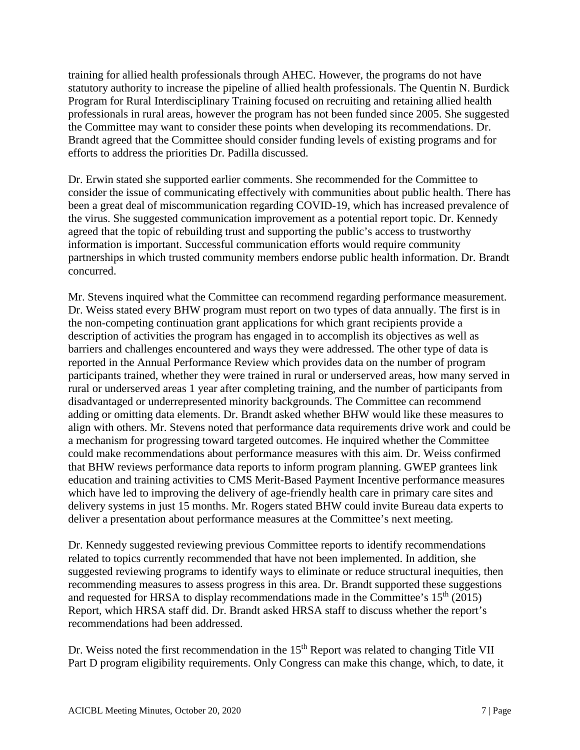training for allied health professionals through AHEC. However, the programs do not have statutory authority to increase the pipeline of allied health professionals. The Quentin N. Burdick Program for Rural Interdisciplinary Training focused on recruiting and retaining allied health professionals in rural areas, however the program has not been funded since 2005. She suggested the Committee may want to consider these points when developing its recommendations. Dr. Brandt agreed that the Committee should consider funding levels of existing programs and for efforts to address the priorities Dr. Padilla discussed.

Dr. Erwin stated she supported earlier comments. She recommended for the Committee to consider the issue of communicating effectively with communities about public health. There has been a great deal of miscommunication regarding COVID-19, which has increased prevalence of the virus. She suggested communication improvement as a potential report topic. Dr. Kennedy agreed that the topic of rebuilding trust and supporting the public's access to trustworthy information is important. Successful communication efforts would require community partnerships in which trusted community members endorse public health information. Dr. Brandt concurred.

Mr. Stevens inquired what the Committee can recommend regarding performance measurement. Dr. Weiss stated every BHW program must report on two types of data annually. The first is in the non-competing continuation grant applications for which grant recipients provide a description of activities the program has engaged in to accomplish its objectives as well as barriers and challenges encountered and ways they were addressed. The other type of data is reported in the Annual Performance Review which provides data on the number of program participants trained, whether they were trained in rural or underserved areas, how many served in rural or underserved areas 1 year after completing training, and the number of participants from disadvantaged or underrepresented minority backgrounds. The Committee can recommend adding or omitting data elements. Dr. Brandt asked whether BHW would like these measures to align with others. Mr. Stevens noted that performance data requirements drive work and could be a mechanism for progressing toward targeted outcomes. He inquired whether the Committee could make recommendations about performance measures with this aim. Dr. Weiss confirmed that BHW reviews performance data reports to inform program planning. GWEP grantees link education and training activities to CMS Merit-Based Payment Incentive performance measures which have led to improving the delivery of age-friendly health care in primary care sites and delivery systems in just 15 months. Mr. Rogers stated BHW could invite Bureau data experts to deliver a presentation about performance measures at the Committee's next meeting.

Dr. Kennedy suggested reviewing previous Committee reports to identify recommendations related to topics currently recommended that have not been implemented. In addition, she suggested reviewing programs to identify ways to eliminate or reduce structural inequities, then recommending measures to assess progress in this area. Dr. Brandt supported these suggestions and requested for HRSA to display recommendations made in the Committee's  $15<sup>th</sup>$  (2015) Report, which HRSA staff did. Dr. Brandt asked HRSA staff to discuss whether the report's recommendations had been addressed.

Dr. Weiss noted the first recommendation in the 15<sup>th</sup> Report was related to changing Title VII Part D program eligibility requirements. Only Congress can make this change, which, to date, it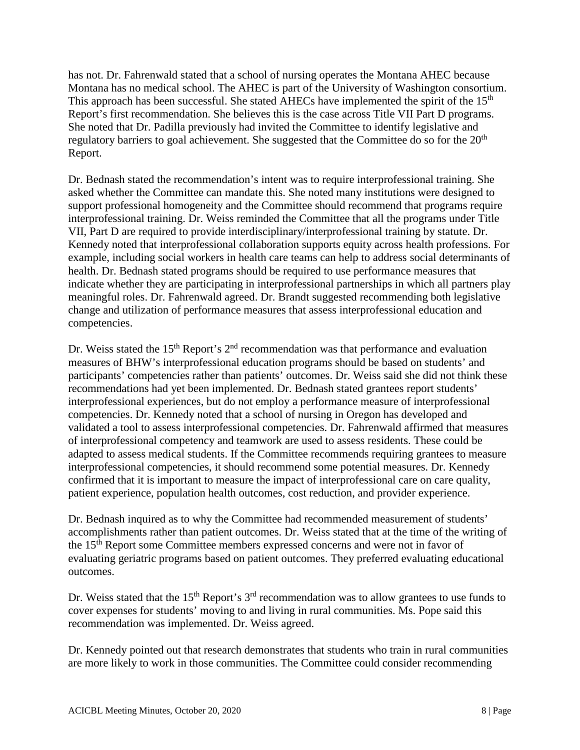has not. Dr. Fahrenwald stated that a school of nursing operates the Montana AHEC because Montana has no medical school. The AHEC is part of the University of Washington consortium. This approach has been successful. She stated AHECs have implemented the spirit of the 15<sup>th</sup> Report's first recommendation. She believes this is the case across Title VII Part D programs. She noted that Dr. Padilla previously had invited the Committee to identify legislative and regulatory barriers to goal achievement. She suggested that the Committee do so for the 20<sup>th</sup> Report.

Dr. Bednash stated the recommendation's intent was to require interprofessional training. She asked whether the Committee can mandate this. She noted many institutions were designed to support professional homogeneity and the Committee should recommend that programs require interprofessional training. Dr. Weiss reminded the Committee that all the programs under Title VII, Part D are required to provide interdisciplinary/interprofessional training by statute. Dr. Kennedy noted that interprofessional collaboration supports equity across health professions. For example, including social workers in health care teams can help to address social determinants of health. Dr. Bednash stated programs should be required to use performance measures that indicate whether they are participating in interprofessional partnerships in which all partners play meaningful roles. Dr. Fahrenwald agreed. Dr. Brandt suggested recommending both legislative change and utilization of performance measures that assess interprofessional education and competencies.

Dr. Weiss stated the 15<sup>th</sup> Report's  $2<sup>nd</sup>$  recommendation was that performance and evaluation measures of BHW's interprofessional education programs should be based on students' and participants' competencies rather than patients' outcomes. Dr. Weiss said she did not think these recommendations had yet been implemented. Dr. Bednash stated grantees report students' interprofessional experiences, but do not employ a performance measure of interprofessional competencies. Dr. Kennedy noted that a school of nursing in Oregon has developed and validated a tool to assess interprofessional competencies. Dr. Fahrenwald affirmed that measures of interprofessional competency and teamwork are used to assess residents. These could be adapted to assess medical students. If the Committee recommends requiring grantees to measure interprofessional competencies, it should recommend some potential measures. Dr. Kennedy confirmed that it is important to measure the impact of interprofessional care on care quality, patient experience, population health outcomes, cost reduction, and provider experience.

Dr. Bednash inquired as to why the Committee had recommended measurement of students' accomplishments rather than patient outcomes. Dr. Weiss stated that at the time of the writing of the 15th Report some Committee members expressed concerns and were not in favor of evaluating geriatric programs based on patient outcomes. They preferred evaluating educational outcomes.

Dr. Weiss stated that the 15<sup>th</sup> Report's 3<sup>rd</sup> recommendation was to allow grantees to use funds to cover expenses for students' moving to and living in rural communities. Ms. Pope said this recommendation was implemented. Dr. Weiss agreed.

Dr. Kennedy pointed out that research demonstrates that students who train in rural communities are more likely to work in those communities. The Committee could consider recommending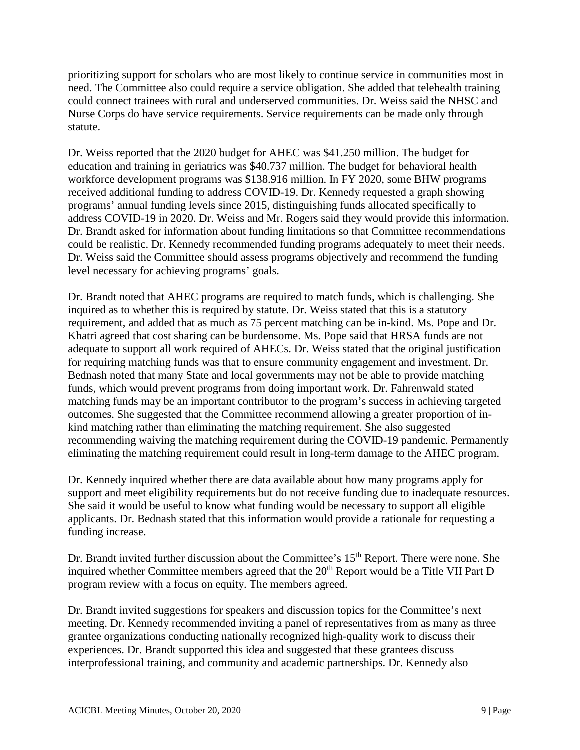prioritizing support for scholars who are most likely to continue service in communities most in need. The Committee also could require a service obligation. She added that telehealth training could connect trainees with rural and underserved communities. Dr. Weiss said the NHSC and Nurse Corps do have service requirements. Service requirements can be made only through statute.

Dr. Weiss reported that the 2020 budget for AHEC was \$41.250 million. The budget for education and training in geriatrics was \$40.737 million. The budget for behavioral health workforce development programs was \$138.916 million. In FY 2020, some BHW programs received additional funding to address COVID-19. Dr. Kennedy requested a graph showing programs' annual funding levels since 2015, distinguishing funds allocated specifically to address COVID-19 in 2020. Dr. Weiss and Mr. Rogers said they would provide this information. Dr. Brandt asked for information about funding limitations so that Committee recommendations could be realistic. Dr. Kennedy recommended funding programs adequately to meet their needs. Dr. Weiss said the Committee should assess programs objectively and recommend the funding level necessary for achieving programs' goals.

Dr. Brandt noted that AHEC programs are required to match funds, which is challenging. She inquired as to whether this is required by statute. Dr. Weiss stated that this is a statutory requirement, and added that as much as 75 percent matching can be in-kind. Ms. Pope and Dr. Khatri agreed that cost sharing can be burdensome. Ms. Pope said that HRSA funds are not adequate to support all work required of AHECs. Dr. Weiss stated that the original justification for requiring matching funds was that to ensure community engagement and investment. Dr. Bednash noted that many State and local governments may not be able to provide matching funds, which would prevent programs from doing important work. Dr. Fahrenwald stated matching funds may be an important contributor to the program's success in achieving targeted outcomes. She suggested that the Committee recommend allowing a greater proportion of inkind matching rather than eliminating the matching requirement. She also suggested recommending waiving the matching requirement during the COVID-19 pandemic. Permanently eliminating the matching requirement could result in long-term damage to the AHEC program.

Dr. Kennedy inquired whether there are data available about how many programs apply for support and meet eligibility requirements but do not receive funding due to inadequate resources. She said it would be useful to know what funding would be necessary to support all eligible applicants. Dr. Bednash stated that this information would provide a rationale for requesting a funding increase.

Dr. Brandt invited further discussion about the Committee's 15<sup>th</sup> Report. There were none. She inquired whether Committee members agreed that the  $20<sup>th</sup>$  Report would be a Title VII Part D program review with a focus on equity. The members agreed.

Dr. Brandt invited suggestions for speakers and discussion topics for the Committee's next meeting. Dr. Kennedy recommended inviting a panel of representatives from as many as three grantee organizations conducting nationally recognized high-quality work to discuss their experiences. Dr. Brandt supported this idea and suggested that these grantees discuss interprofessional training, and community and academic partnerships. Dr. Kennedy also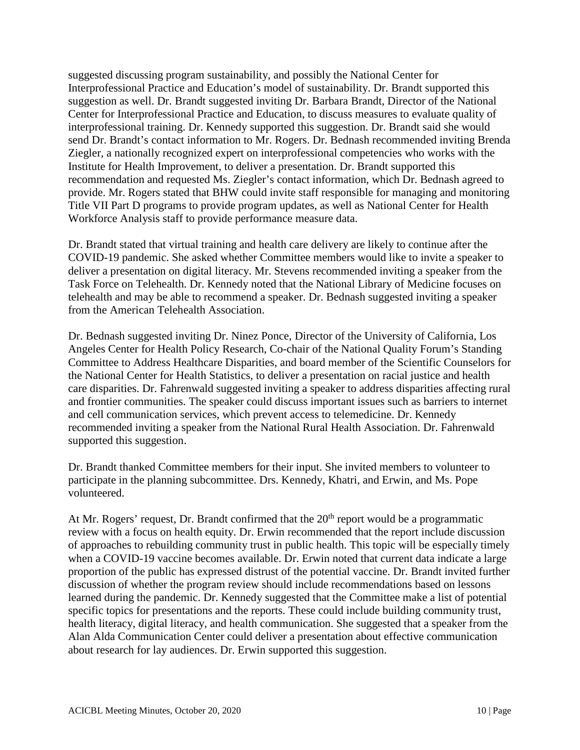suggested discussing program sustainability, and possibly the National Center for Interprofessional Practice and Education's model of sustainability. Dr. Brandt supported this suggestion as well. Dr. Brandt suggested inviting Dr. Barbara Brandt, Director of the National Center for Interprofessional Practice and Education, to discuss measures to evaluate quality of interprofessional training. Dr. Kennedy supported this suggestion. Dr. Brandt said she would send Dr. Brandt's contact information to Mr. Rogers. Dr. Bednash recommended inviting Brenda Ziegler, a nationally recognized expert on interprofessional competencies who works with the Institute for Health Improvement, to deliver a presentation. Dr. Brandt supported this recommendation and requested Ms. Ziegler's contact information, which Dr. Bednash agreed to provide. Mr. Rogers stated that BHW could invite staff responsible for managing and monitoring Title VII Part D programs to provide program updates, as well as National Center for Health Workforce Analysis staff to provide performance measure data.

Dr. Brandt stated that virtual training and health care delivery are likely to continue after the COVID-19 pandemic. She asked whether Committee members would like to invite a speaker to deliver a presentation on digital literacy. Mr. Stevens recommended inviting a speaker from the Task Force on Telehealth. Dr. Kennedy noted that the National Library of Medicine focuses on telehealth and may be able to recommend a speaker. Dr. Bednash suggested inviting a speaker from the American Telehealth Association.

Dr. Bednash suggested inviting Dr. Ninez Ponce, Director of the University of California, Los Angeles Center for Health Policy Research, Co-chair of the National Quality Forum's Standing Committee to Address Healthcare Disparities, and board member of the Scientific Counselors for the National Center for Health Statistics, to deliver a presentation on racial justice and health care disparities. Dr. Fahrenwald suggested inviting a speaker to address disparities affecting rural and frontier communities. The speaker could discuss important issues such as barriers to internet and cell communication services, which prevent access to telemedicine. Dr. Kennedy recommended inviting a speaker from the National Rural Health Association. Dr. Fahrenwald supported this suggestion.

Dr. Brandt thanked Committee members for their input. She invited members to volunteer to participate in the planning subcommittee. Drs. Kennedy, Khatri, and Erwin, and Ms. Pope volunteered.

At Mr. Rogers' request, Dr. Brandt confirmed that the  $20<sup>th</sup>$  report would be a programmatic review with a focus on health equity. Dr. Erwin recommended that the report include discussion of approaches to rebuilding community trust in public health. This topic will be especially timely when a COVID-19 vaccine becomes available. Dr. Erwin noted that current data indicate a large proportion of the public has expressed distrust of the potential vaccine. Dr. Brandt invited further discussion of whether the program review should include recommendations based on lessons learned during the pandemic. Dr. Kennedy suggested that the Committee make a list of potential specific topics for presentations and the reports. These could include building community trust, health literacy, digital literacy, and health communication. She suggested that a speaker from the Alan Alda Communication Center could deliver a presentation about effective communication about research for lay audiences. Dr. Erwin supported this suggestion.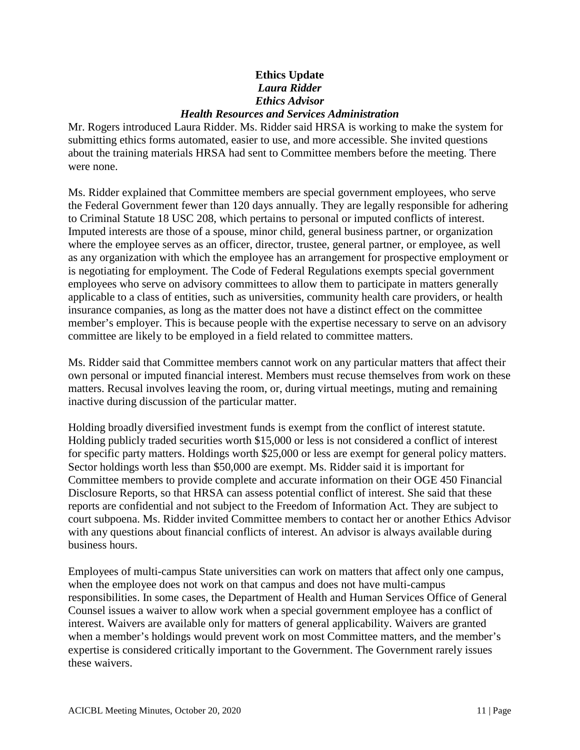# **Ethics Update**  *Laura Ridder Ethics Advisor Health Resources and Services Administration*

Mr. Rogers introduced Laura Ridder. Ms. Ridder said HRSA is working to make the system for submitting ethics forms automated, easier to use, and more accessible. She invited questions about the training materials HRSA had sent to Committee members before the meeting. There were none.

Ms. Ridder explained that Committee members are special government employees, who serve the Federal Government fewer than 120 days annually. They are legally responsible for adhering to Criminal Statute 18 USC 208, which pertains to personal or imputed conflicts of interest. Imputed interests are those of a spouse, minor child, general business partner, or organization where the employee serves as an officer, director, trustee, general partner, or employee, as well as any organization with which the employee has an arrangement for prospective employment or is negotiating for employment. The Code of Federal Regulations exempts special government employees who serve on advisory committees to allow them to participate in matters generally applicable to a class of entities, such as universities, community health care providers, or health insurance companies, as long as the matter does not have a distinct effect on the committee member's employer. This is because people with the expertise necessary to serve on an advisory committee are likely to be employed in a field related to committee matters.

Ms. Ridder said that Committee members cannot work on any particular matters that affect their own personal or imputed financial interest. Members must recuse themselves from work on these matters. Recusal involves leaving the room, or, during virtual meetings, muting and remaining inactive during discussion of the particular matter.

Holding broadly diversified investment funds is exempt from the conflict of interest statute. Holding publicly traded securities worth \$15,000 or less is not considered a conflict of interest for specific party matters. Holdings worth \$25,000 or less are exempt for general policy matters. Sector holdings worth less than \$50,000 are exempt. Ms. Ridder said it is important for Committee members to provide complete and accurate information on their OGE 450 Financial Disclosure Reports, so that HRSA can assess potential conflict of interest. She said that these reports are confidential and not subject to the Freedom of Information Act. They are subject to court subpoena. Ms. Ridder invited Committee members to contact her or another Ethics Advisor with any questions about financial conflicts of interest. An advisor is always available during business hours.

Employees of multi-campus State universities can work on matters that affect only one campus, when the employee does not work on that campus and does not have multi-campus responsibilities. In some cases, the Department of Health and Human Services Office of General Counsel issues a waiver to allow work when a special government employee has a conflict of interest. Waivers are available only for matters of general applicability. Waivers are granted when a member's holdings would prevent work on most Committee matters, and the member's expertise is considered critically important to the Government. The Government rarely issues these waivers.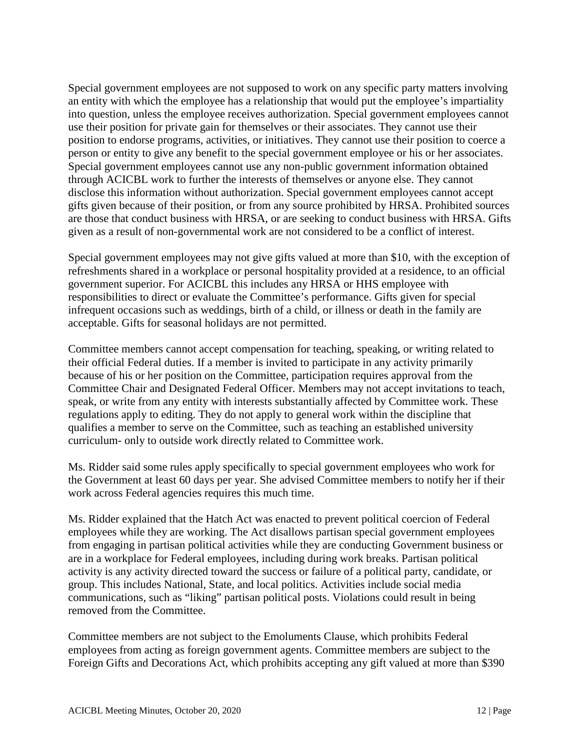Special government employees are not supposed to work on any specific party matters involving an entity with which the employee has a relationship that would put the employee's impartiality into question, unless the employee receives authorization. Special government employees cannot use their position for private gain for themselves or their associates. They cannot use their position to endorse programs, activities, or initiatives. They cannot use their position to coerce a person or entity to give any benefit to the special government employee or his or her associates. Special government employees cannot use any non-public government information obtained through ACICBL work to further the interests of themselves or anyone else. They cannot disclose this information without authorization. Special government employees cannot accept gifts given because of their position, or from any source prohibited by HRSA. Prohibited sources are those that conduct business with HRSA, or are seeking to conduct business with HRSA. Gifts given as a result of non-governmental work are not considered to be a conflict of interest.

Special government employees may not give gifts valued at more than \$10, with the exception of refreshments shared in a workplace or personal hospitality provided at a residence, to an official government superior. For ACICBL this includes any HRSA or HHS employee with responsibilities to direct or evaluate the Committee's performance. Gifts given for special infrequent occasions such as weddings, birth of a child, or illness or death in the family are acceptable. Gifts for seasonal holidays are not permitted.

Committee members cannot accept compensation for teaching, speaking, or writing related to their official Federal duties. If a member is invited to participate in any activity primarily because of his or her position on the Committee, participation requires approval from the Committee Chair and Designated Federal Officer. Members may not accept invitations to teach, speak, or write from any entity with interests substantially affected by Committee work. These regulations apply to editing. They do not apply to general work within the discipline that qualifies a member to serve on the Committee, such as teaching an established university curriculum- only to outside work directly related to Committee work.

Ms. Ridder said some rules apply specifically to special government employees who work for the Government at least 60 days per year. She advised Committee members to notify her if their work across Federal agencies requires this much time.

Ms. Ridder explained that the Hatch Act was enacted to prevent political coercion of Federal employees while they are working. The Act disallows partisan special government employees from engaging in partisan political activities while they are conducting Government business or are in a workplace for Federal employees, including during work breaks. Partisan political activity is any activity directed toward the success or failure of a political party, candidate, or group. This includes National, State, and local politics. Activities include social media communications, such as "liking" partisan political posts. Violations could result in being removed from the Committee.

Committee members are not subject to the Emoluments Clause, which prohibits Federal employees from acting as foreign government agents. Committee members are subject to the Foreign Gifts and Decorations Act, which prohibits accepting any gift valued at more than \$390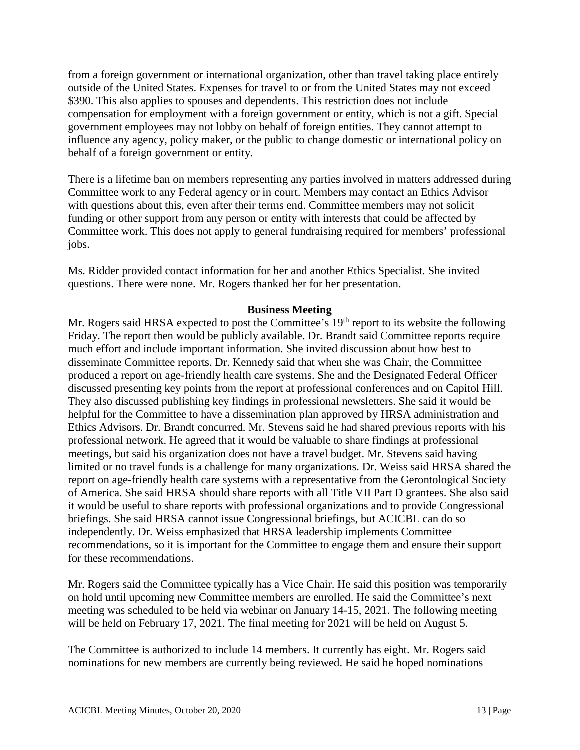from a foreign government or international organization, other than travel taking place entirely outside of the United States. Expenses for travel to or from the United States may not exceed \$390. This also applies to spouses and dependents. This restriction does not include compensation for employment with a foreign government or entity, which is not a gift. Special government employees may not lobby on behalf of foreign entities. They cannot attempt to influence any agency, policy maker, or the public to change domestic or international policy on behalf of a foreign government or entity.

There is a lifetime ban on members representing any parties involved in matters addressed during Committee work to any Federal agency or in court. Members may contact an Ethics Advisor with questions about this, even after their terms end. Committee members may not solicit funding or other support from any person or entity with interests that could be affected by Committee work. This does not apply to general fundraising required for members' professional jobs.

Ms. Ridder provided contact information for her and another Ethics Specialist. She invited questions. There were none. Mr. Rogers thanked her for her presentation.

#### **Business Meeting**

Mr. Rogers said HRSA expected to post the Committee's 19<sup>th</sup> report to its website the following Friday. The report then would be publicly available. Dr. Brandt said Committee reports require much effort and include important information. She invited discussion about how best to disseminate Committee reports. Dr. Kennedy said that when she was Chair, the Committee produced a report on age-friendly health care systems. She and the Designated Federal Officer discussed presenting key points from the report at professional conferences and on Capitol Hill. They also discussed publishing key findings in professional newsletters. She said it would be helpful for the Committee to have a dissemination plan approved by HRSA administration and Ethics Advisors. Dr. Brandt concurred. Mr. Stevens said he had shared previous reports with his professional network. He agreed that it would be valuable to share findings at professional meetings, but said his organization does not have a travel budget. Mr. Stevens said having limited or no travel funds is a challenge for many organizations. Dr. Weiss said HRSA shared the report on age-friendly health care systems with a representative from the Gerontological Society of America. She said HRSA should share reports with all Title VII Part D grantees. She also said it would be useful to share reports with professional organizations and to provide Congressional briefings. She said HRSA cannot issue Congressional briefings, but ACICBL can do so independently. Dr. Weiss emphasized that HRSA leadership implements Committee recommendations, so it is important for the Committee to engage them and ensure their support for these recommendations.

Mr. Rogers said the Committee typically has a Vice Chair. He said this position was temporarily on hold until upcoming new Committee members are enrolled. He said the Committee's next meeting was scheduled to be held via webinar on January 14-15, 2021. The following meeting will be held on February 17, 2021. The final meeting for 2021 will be held on August 5.

The Committee is authorized to include 14 members. It currently has eight. Mr. Rogers said nominations for new members are currently being reviewed. He said he hoped nominations